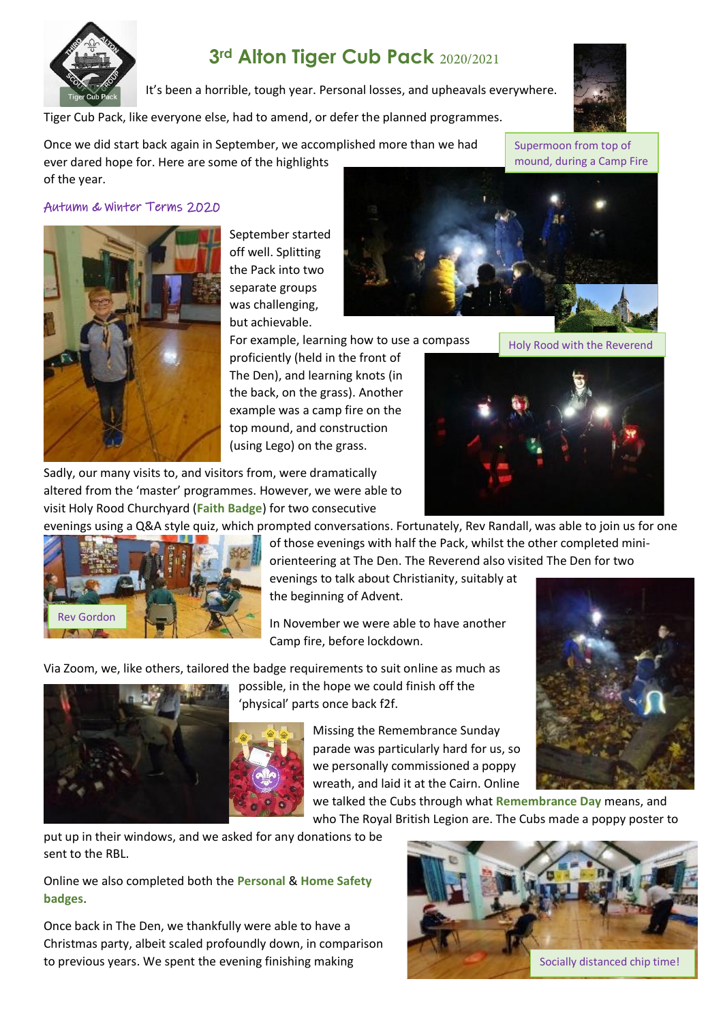

# **3rd Alton Tiger Cub Pack**

It's been a horrible, tough year. Personal losses, and upheavals everywhere.

Tiger Cub Pack, like everyone else, had to amend, or defer the planned programmes.

Once we did start back again in September, we accomplished more than we had ever dared hope for. Here are some of the highlights of the year.



#### Autumn & Winter Terms 2020



September started off well. Splitting the Pack into two separate groups was challenging, but achievable.

For example, learning how to use a compass

proficiently (held in the front of The Den), and learning knots (in the back, on the grass). Another example was a camp fire on the top mound, and construction (using Lego) on the grass.

Sadly, our many visits to, and visitors from, were dramatically altered from the 'master' programmes. However, we were able to visit Holy Rood Churchyard (**Faith Badge**) for two consecutive

evenings using a Q&A style quiz, which prompted conversations. Fortunately, Rev Randall, was able to join us for one



of those evenings with half the Pack, whilst the other completed miniorienteering at The Den. The Reverend also visited The Den for two

evenings to talk about Christianity, suitably at the beginning of Advent.

In November we were able to have another Camp fire, before lockdown.

Via Zoom, we, like others, tailored the badge requirements to suit online as much as



'physical' parts once back f2f. Missing the Remembrance Sunday

parade was particularly hard for us, so we personally commissioned a poppy wreath, and laid it at the Cairn. Online



we talked the Cubs through what **Remembrance Day** means, and who The Royal British Legion are. The Cubs made a poppy poster to

put up in their windows, and we asked for any donations to be sent to the RBL.

Online we also completed both the **Personal** & **Home Safety badges**.

Once back in The Den, we thankfully were able to have a Christmas party, albeit scaled profoundly down, in comparison to previous years. We spent the evening finishing making





Holy Rood with the Reverend

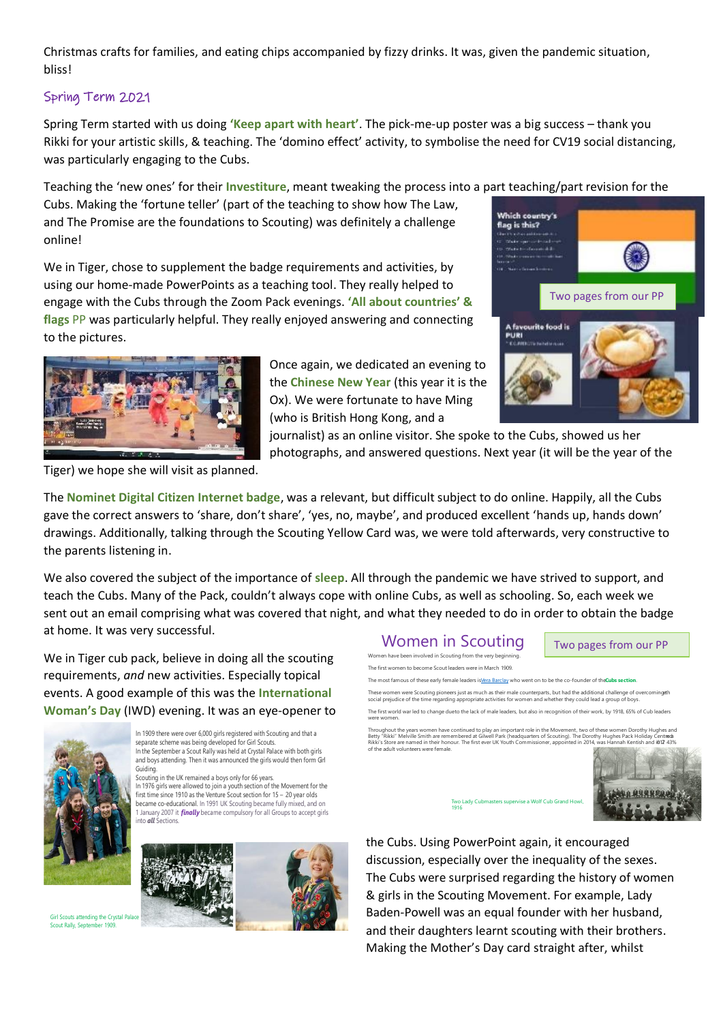Christmas crafts for families, and eating chips accompanied by fizzy drinks. It was, given the pandemic situation, bliss!

#### Spring Term 2021

Spring Term started with us doing **'Keep apart with heart'**. The pick-me-up poster was a big success – thank you Rikki for your artistic skills, & teaching. The 'domino effect' activity, to symbolise the need for CV19 social distancing, was particularly engaging to the Cubs.

Teaching the 'new ones' for their **Investiture**, meant tweaking the process into a part teaching/part revision for the

Cubs. Making the 'fortune teller' (part of the teaching to show how The Law, and The Promise are the foundations to Scouting) was definitely a challenge online!

We in Tiger, chose to supplement the badge requirements and activities, by using our home-made PowerPoints as a teaching tool. They really helped to engage with the Cubs through the Zoom Pack evenings. **'All about countries' & flags** PP was particularly helpful. They really enjoyed answering and connecting to the pictures.



Once again, we dedicated an evening to the **Chinese New Year** (this year it is the Ox). We were fortunate to have Ming (who is British Hong Kong, and a

Which country's flag is this? Two pages from our PP A favourite food is<br>PURI

journalist) as an online visitor. She spoke to the Cubs, showed us her photographs, and answered questions. Next year (it will be the year of the

Tiger) we hope she will visit as planned.

The **Nominet Digital Citizen Internet badge**, was a relevant, but difficult subject to do online. Happily, all the Cubs gave the correct answers to 'share, don't share', 'yes, no, maybe', and produced excellent 'hands up, hands down' drawings. Additionally, talking through the Scouting Yellow Card was, we were told afterwards, very constructive to the parents listening in.

We also covered the subject of the importance of **sleep**. All through the pandemic we have strived to support, and teach the Cubs. Many of the Pack, couldn't always cope with online Cubs, as well as schooling. So, each week we sent out an email comprising what was covered that night, and what they needed to do in order to obtain the badge at home. It was very successful.

We in Tiger cub pack, believe in doing all the scouting requirements, *and* new activities. Especially topical events. A good example of this was the **International Woman's Day** (IWD) evening. It was an eye-opener to



In 1909 there were over 6,000 girls registered with Scouting and that a separate scheme was being developed for Girl Scouts. In the September a Scout Rally was held at Crystal Palace with both girls and boys attending. Then it was announced the girls would then form Grl Guiding Scouting in the UK remained a boys only for 66 years. In 1976 girls were allowed to join a youth section of the Movement for the first time since 1910 as the Venture Scout section for 15 - 20 year olds became co-educational. In 1991 UK Scouting became fully mixed, and on 1 January 2007 it *finally* became compulsory for all Groups to accept girls<br>into *all* Sections.



Girl Scouts attending the Crystal Palac Scout Rally, September 1909



the Cubs. Using PowerPoint again, it encouraged discussion, especially over the inequality of the sexes. The Cubs were surprised regarding the history of women & girls in the Scouting Movement. For example, Lady Baden-Powell was an equal founder with her husband, and their daughters learnt scouting with their brothers. Making the Mother's Day card straight after, whilst